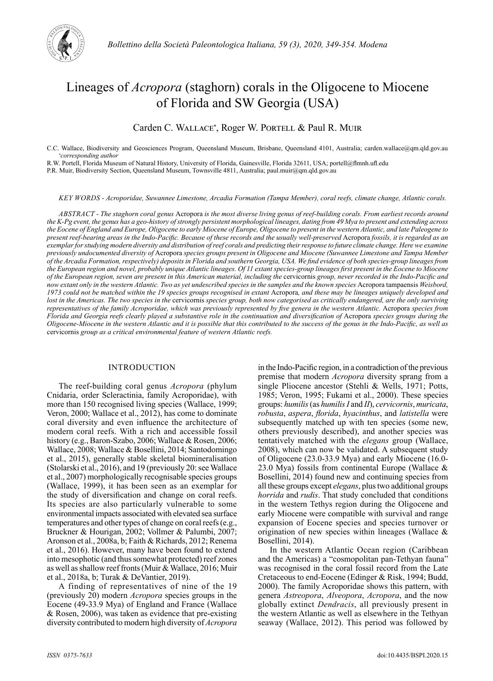

# Lineages of *Acropora* (staghorn) corals in the Oligocene to Miocene of Florida and SW Georgia (USA)

# Carden C. WALLACE\*, Roger W. PORTELL & Paul R. MUIR

C.C. Wallace, Biodiversity and Geosciences Program, Queensland Museum, Brisbane, Queensland 4101, Australia; carden.wallace@qm.qld.gov.au *\*corresponding author*

R.W. Portell, Florida Museum of Natural History, University of Florida, Gainesville, Florida 32611, USA; portell@flmnh.ufl.edu

P.R. Muir, Biodiversity Section, Queensland Museum, Townsville 4811, Australia; paul.muir@qm.qld.gov.au

*KEY WORDS - Acroporidae, Suwannee Limestone, Arcadia Formation (Tampa Member), coral reefs, climate change, Atlantic corals.*

*ABSTRACT - The staghorn coral genus* Acropora *is the most diverse living genus of reef-building corals. From earliest records around the K-Pg event, the genus has a geo-history of strongly persistent morphological lineages, dating from 49 Mya to present and extending across the Eocene of England and Europe, Oligocene to early Miocene of Europe, Oligocene to present in the western Atlantic, and late Paleogene to present reef-bearing areas in the Indo-Pacific. Because of these records and the usually well-preserved* Acropora *fossils, it is regarded as an exemplar for studying modern diversity and distribution of reef corals and predicting their response to future climate change. Here we examine previously undocumented diversity of* Acropora *species groups present in Oligocene and Miocene (Suwannee Limestone and Tampa Member of the Arcadia Formation, respectively) deposits in Florida and southern Georgia, USA. We find evidence of both species-group lineages from the European region and novel, probably unique Atlantic lineages. Of 11 extant species-group lineages first present in the Eocene to Miocene of the European region, seven are present in this American material, including the* cervicornis *group, never recorded in the Indo-Pacific and now extant only in the western Atlantic. Two as yet undescribed species in the samples and the known species* Acropora tampaensis *Weisbord,*  1973 could not be matched within the 19 species groups recognised in extant Acropora, and these may be lineages uniquely developed and *lost in the Americas. The two species in the* cervicornis *species group, both now categorised as critically endangered, are the only surviving representatives of the family Acroporidae, which was previously represented by five genera in the western Atlantic.* Acropora *species from Florida and Georgia reefs clearly played a substantive role in the continuation and diversification of Acropora species groups during the Oligocene-Miocene in the western Atlantic and it is possible that this contributed to the success of the genus in the Indo-Pacific, as well as*  cervicornis *group as a critical environmental feature of western Atlantic reefs.*

## INTRODUCTION

The reef-building coral genus *Acropora* (phylum Cnidaria, order Scleractinia, family Acroporidae), with more than 150 recognised living species (Wallace, 1999; Veron, 2000; Wallace et al., 2012), has come to dominate coral diversity and even influence the architecture of modern coral reefs. With a rich and accessible fossil history (e.g., Baron-Szabo, 2006; Wallace & Rosen, 2006; Wallace, 2008; Wallace & Bosellini, 2014; Santodomingo et al., 2015), generally stable skeletal biomineralisation (Stolarski et al., 2016), and 19 (previously 20: see Wallace et al., 2007) morphologically recognisable species groups (Wallace, 1999), it has been seen as an exemplar for the study of diversification and change on coral reefs. Its species are also particularly vulnerable to some environmental impacts associated with elevated sea surface temperatures and other types of change on coral reefs (e.g., Bruckner & Hourigan, 2002; Vollmer & Palumbi, 2007; Aronson et al., 2008a, b; Faith & Richards, 2012; Renema et al., 2016). However, many have been found to extend into mesophotic (and thus somewhat protected) reef zones as well as shallow reef fronts (Muir & Wallace, 2016; Muir et al., 2018a, b; Turak & DeVantier, 2019).

A finding of representatives of nine of the 19 (previously 20) modern *Acropora* species groups in the Eocene (49-33.9 Mya) of England and France (Wallace & Rosen, 2006), was taken as evidence that pre-existing diversity contributed to modern high diversity of *Acropora* in the Indo-Pacific region, in a contradiction of the previous premise that modern *Acropora* diversity sprang from a single Pliocene ancestor (Stehli & Wells, 1971; Potts, 1985; Veron, 1995; Fukami et al., 2000). These species groups: *humilis* (as *humilis I* and *II*), *cervicornis*, *muricata*, *robusta*, *aspera*, *florida*, *hyacinthus*, and *latistella* were subsequently matched up with ten species (some new, others previously described), and another species was tentatively matched with the *elegans* group (Wallace, 2008), which can now be validated. A subsequent study of Oligocene (23.0-33.9 Mya) and early Miocene (16.0- 23.0 Mya) fossils from continental Europe (Wallace & Bosellini, 2014) found new and continuing species from all these groups except *elegans*, plus two additional groups *horrida* and *rudis*. That study concluded that conditions in the western Tethys region during the Oligocene and early Miocene were compatible with survival and range expansion of Eocene species and species turnover or origination of new species within lineages (Wallace & Bosellini, 2014).

In the western Atlantic Ocean region (Caribbean and the Americas) a "cosmopolitan pan-Tethyan fauna" was recognised in the coral fossil record from the Late Cretaceous to end-Eocene (Edinger & Risk, 1994; Budd, 2000). The family Acroporidae shows this pattern, with genera *Astreopora*, *Alveopora*, *Acropora*, and the now globally extinct *Dendracis*, all previously present in the western Atlantic as well as elsewhere in the Tethyan seaway (Wallace, 2012). This period was followed by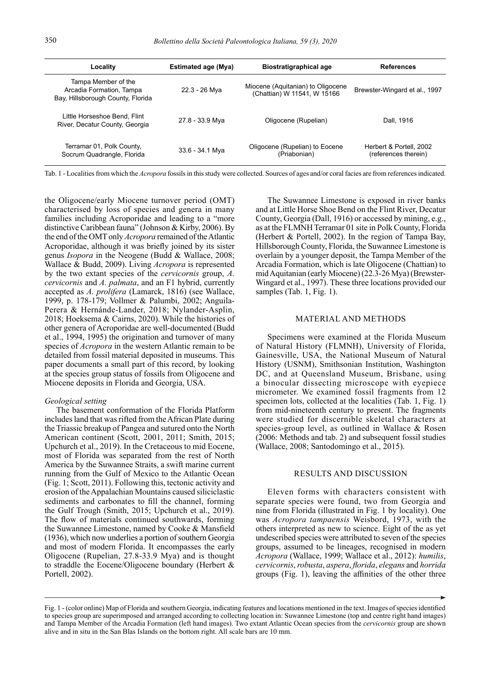| Locality                                                                             | Estimated age (Mya) | <b>Biostratigraphical age</b>                                    | <b>References</b>                               |  |  |
|--------------------------------------------------------------------------------------|---------------------|------------------------------------------------------------------|-------------------------------------------------|--|--|
| Tampa Member of the<br>Arcadia Formation, Tampa<br>Bay, Hillsborough County, Florida | 22.3 - 26 Mya       | Miocene (Aquitanian) to Oligocene<br>(Chattian) W 11541, W 15166 | Brewster-Wingard et al., 1997                   |  |  |
| Little Horseshoe Bend, Flint<br>River, Decatur County, Georgia                       | 27.8 - 33.9 Mya     | Oligocene (Rupelian)                                             | Dall, 1916                                      |  |  |
| Terramar 01, Polk County,<br>Socrum Quadrangle, Florida                              | 33.6 - 34.1 Mya     | Oligocene (Rupelian) to Eocene<br>(Priabonian)                   | Herbert & Portell, 2002<br>(references therein) |  |  |

Tab. 1 - Localities from which the *Acropora* fossils in this study were collected. Sources of ages and/or coral facies are from references indicated.

the Oligocene/early Miocene turnover period (OMT) characterised by loss of species and genera in many families including Acroporidae and leading to a "more distinctive Caribbean fauna" (Johnson & Kirby, 2006). By the end of the OMT only *Acropora* remained of the Atlantic Acroporidae, although it was briefly joined by its sister genus *Isopora* in the Neogene (Budd & Wallace, 2008; Wallace & Budd, 2009). Living *Acropora* is represented by the two extant species of the *cervicornis* group, *A. cervicornis* and *A. palmata*, and an F1 hybrid, currently accepted as *A. prolifera* (Lamarck, 1816) (see Wallace, 1999, p. 178-179; Vollmer & Palumbi, 2002; Anguila-Perera & Hernánde-Lander, 2018; Nylander-Asplin, 2018; Hoeksema & Cairns, 2020). While the histories of other genera of Acroporidae are well-documented (Budd et al., 1994, 1995) the origination and turnover of many species of *Acropora* in the western Atlantic remain to be detailed from fossil material deposited in museums. This paper documents a small part of this record, by looking at the species group status of fossils from Oligocene and Miocene deposits in Florida and Georgia, USA.

#### *Geological setting*

The basement conformation of the Florida Platform includes land that was rifted from the African Plate during the Triassic breakup of Pangea and sutured onto the North American continent (Scott, 2001, 2011; Smith, 2015; Upchurch et al., 2019). In the Cretaceous to mid Eocene, most of Florida was separated from the rest of North America by the Suwannee Straits, a swift marine current running from the Gulf of Mexico to the Atlantic Ocean (Fig. 1; Scott, 2011). Following this, tectonic activity and erosion of the Appalachian Mountains caused siliciclastic sediments and carbonates to fill the channel, forming the Gulf Trough (Smith, 2015; Upchurch et al., 2019). The flow of materials continued southwards, forming the Suwannee Limestone, named by Cooke & Mansfield (1936), which now underlies a portion of southern Georgia and most of modern Florida. It encompasses the early Oligocene (Rupelian, 27.8-33.9 Mya) and is thought to straddle the Eocene/Oligocene boundary (Herbert & Portell, 2002).

The Suwannee Limestone is exposed in river banks and at Little Horse Shoe Bend on the Flint River, Decatur County, Georgia (Dall, 1916) or accessed by mining, e.g., as at the FLMNH Terramar 01 site in Polk County, Florida (Herbert & Portell, 2002). In the region of Tampa Bay, Hillsborough County, Florida, the Suwannee Limestone is overlain by a younger deposit, the Tampa Member of the Arcadia Formation, which is late Oligocene (Chattian) to mid Aquitanian (early Miocene) (22.3-26 Mya) (Brewster-Wingard et al., 1997). These three locations provided our samples (Tab. 1, Fig. 1).

#### MATERIAL AND METHODS

Specimens were examined at the Florida Museum of Natural History (FLMNH), University of Florida, Gainesville, USA, the National Museum of Natural History (USNM), Smithsonian Institution, Washington DC, and at Queensland Museum, Brisbane, using a binocular dissecting microscope with eyepiece micrometer. We examined fossil fragments from 12 specimen lots, collected at the localities (Tab. 1, Fig. 1) from mid-nineteenth century to present. The fragments were studied for discernible skeletal characters at species-group level, as outlined in Wallace & Rosen (2006: Methods and tab. 2) and subsequent fossil studies (Wallace, 2008; Santodomingo et al., 2015).

### RESULTS AND DISCUSSION

Eleven forms with characters consistent with separate species were found, two from Georgia and nine from Florida (illustrated in Fig. 1 by locality). One was *Acropora tampaensis* Weisbord, 1973, with the others interpreted as new to science. Eight of the as yet undescribed species were attributed to seven of the species groups, assumed to be lineages, recognised in modern *Acropora* (Wallace, 1999; Wallace et al., 2012): *humilis*, *cervicornis*, *robusta*, *aspera*, *florida*, *elegans* and *horrida* groups (Fig. 1), leaving the affinities of the other three

Fig. 1 - (color online) Map of Florida and southern Georgia, indicating features and locations mentioned in the text. Images of species identified to species group are superimposed and arranged according to collecting location in: Suwannee Limestone (top and centre right hand images) and Tampa Member of the Arcadia Formation (left hand images). Two extant Atlantic Ocean species from the *cervicornis* group are shown alive and in situ in the San Blas Islands on the bottom right. All scale bars are 10 mm.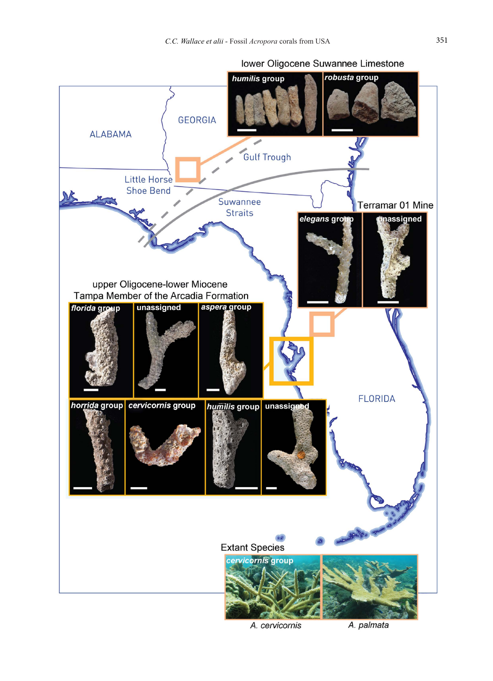

A. cervicornis

A. palmata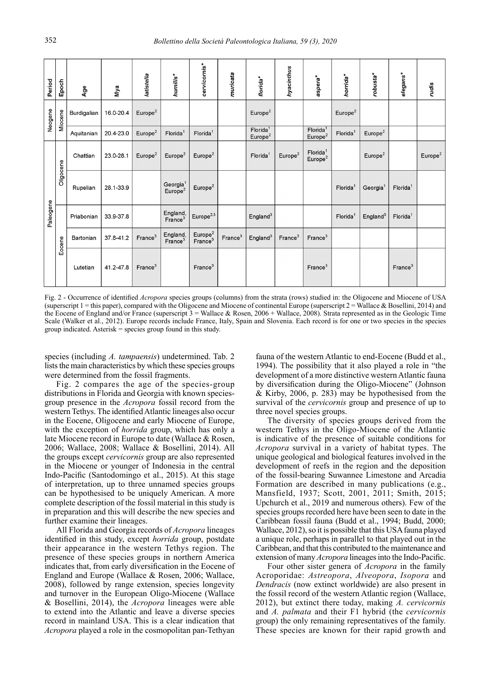| Period    | Epoch     | Age         | Nya       | latistella          | humilis*                                    | cervicornis*                               | muricata            | florida*                                    | hyacinthus          | aspera*                                     | horrida*             | robusta*             | elegans*             | rudis               |
|-----------|-----------|-------------|-----------|---------------------|---------------------------------------------|--------------------------------------------|---------------------|---------------------------------------------|---------------------|---------------------------------------------|----------------------|----------------------|----------------------|---------------------|
| Neogene   | Miocene   | Burdigalian | 16.0-20.4 | Europe <sup>2</sup> |                                             |                                            |                     | Europe <sup>2</sup>                         |                     |                                             | Europe <sup>2</sup>  |                      |                      |                     |
|           |           | Aquitanian  | 20.4-23.0 | Europe <sup>2</sup> | Florida <sup>1</sup>                        | Florida <sup>1</sup>                       |                     | Florida <sup>1</sup><br>Europe <sup>2</sup> |                     | Florida <sup>1</sup><br>Europe <sup>2</sup> | Florida <sup>1</sup> | Europe <sup>2</sup>  |                      |                     |
| Paleogene | Oligocene | Chattian    | 23.0-28.1 | Europe <sup>2</sup> | Europe <sup>2</sup>                         | Europe <sup>2</sup>                        |                     | Florida <sup>1</sup>                        | Europe <sup>2</sup> | Florida <sup>1</sup><br>Europe <sup>2</sup> |                      | Europe <sup>2</sup>  |                      | Europe <sup>2</sup> |
|           |           | Rupelian    | 28.1-33.9 |                     | Georgia <sup>1</sup><br>Europe <sup>2</sup> | Europe <sup>2</sup>                        |                     |                                             |                     |                                             | Florida              | Georgia <sup>1</sup> | Florida <sup>1</sup> |                     |
|           | Eocene    | Priabonian  | 33 9-37.8 |                     | England,<br>France <sup>3</sup>             | Europe $^{2,3}$                            |                     | England <sup>3</sup>                        |                     |                                             | Florida <sup>1</sup> | England <sup>3</sup> | Florida <sup>1</sup> |                     |
|           |           | Bartonian   | 37.8-41.2 | France <sup>3</sup> | England,<br>France <sup>3</sup>             | Europe <sup>2</sup><br>France <sup>3</sup> | France <sup>3</sup> | England <sup>3</sup>                        | France <sup>3</sup> | France <sup>3</sup>                         |                      |                      |                      |                     |
|           |           | Lutetian    | 41.2-47.8 | France <sup>3</sup> |                                             | France <sup>3</sup>                        |                     |                                             |                     | France <sup>3</sup>                         |                      |                      | France <sup>3</sup>  |                     |

Fig. 2 - Occurrence of identified *Acropora* species groups (columns) from the strata (rows) studied in: the Oligocene and Miocene of USA (superscript 1 = this paper), compared with the Oligocene and Miocene of continental Europe (superscript 2 = Wallace & Bosellini, 2014) and the Eocene of England and/or France (superscript 3 = Wallace & Rosen, 2006 + Wallace, 2008). Strata represented as in the Geologic Time Scale (Walker et al., 2012). Europe records include France, Italy, Spain and Slovenia. Each record is for one or two species in the species group indicated. Asterisk = species group found in this study.

species (including *A. tampaensis*) undetermined. Tab. 2 lists the main characteristics by which these species groups were determined from the fossil fragments.

Fig. 2 compares the age of the species-group distributions in Florida and Georgia with known speciesgroup presence in the *Acropora* fossil record from the western Tethys. The identified Atlantic lineages also occur in the Eocene, Oligocene and early Miocene of Europe, with the exception of *horrida* group, which has only a late Miocene record in Europe to date (Wallace & Rosen, 2006; Wallace, 2008; Wallace & Bosellini, 2014). All the groups except *cervicornis* group are also represented in the Miocene or younger of Indonesia in the central Indo-Pacific (Santodomingo et al., 2015). At this stage of interpretation, up to three unnamed species groups can be hypothesised to be uniquely American. A more complete description of the fossil material in this study is in preparation and this will describe the new species and further examine their lineages.

All Florida and Georgia records of *Acropora* lineages identified in this study, except *horrida* group, postdate their appearance in the western Tethys region. The presence of these species groups in northern America indicates that, from early diversification in the Eocene of England and Europe (Wallace & Rosen, 2006; Wallace, 2008), followed by range extension, species longevity and turnover in the European Oligo-Miocene (Wallace & Bosellini, 2014), the *Acropora* lineages were able to extend into the Atlantic and leave a diverse species record in mainland USA. This is a clear indication that *Acropora* played a role in the cosmopolitan pan-Tethyan

fauna of the western Atlantic to end-Eocene (Budd et al., 1994). The possibility that it also played a role in "the development of a more distinctive western Atlantic fauna by diversification during the Oligo-Miocene" (Johnson & Kirby, 2006, p. 283) may be hypothesised from the survival of the *cervicornis* group and presence of up to three novel species groups.

The diversity of species groups derived from the western Tethys in the Oligo-Miocene of the Atlantic is indicative of the presence of suitable conditions for *Acropora* survival in a variety of habitat types. The unique geological and biological features involved in the development of reefs in the region and the deposition of the fossil-bearing Suwannee Limestone and Arcadia Formation are described in many publications (e.g., Mansfield, 1937; Scott, 2001, 2011; Smith, 2015; Upchurch et al., 2019 and numerous others). Few of the species groups recorded here have been seen to date in the Caribbean fossil fauna (Budd et al., 1994; Budd, 2000; Wallace, 2012), so it is possible that this USA fauna played a unique role, perhaps in parallel to that played out in the Caribbean, and that this contributed to the maintenance and extension of many *Acropora* lineages into the Indo-Pacific.

Four other sister genera of *Acropora* in the family Acroporidae: *Astreopora*, *Alveopora*, *Isopora* and *Dendracis* (now extinct worldwide) are also present in the fossil record of the western Atlantic region (Wallace, 2012), but extinct there today, making *A. cervicornis* and *A. palmata* and their F1 hybrid (the *cervicornis* group) the only remaining representatives of the family. These species are known for their rapid growth and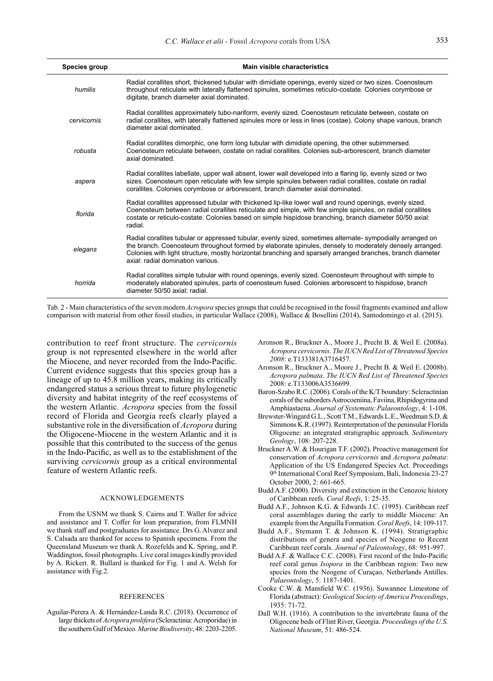| <b>Species group</b> | Main visible characteristics                                                                                                                                                                                                                                                                                                                                             |
|----------------------|--------------------------------------------------------------------------------------------------------------------------------------------------------------------------------------------------------------------------------------------------------------------------------------------------------------------------------------------------------------------------|
|                      |                                                                                                                                                                                                                                                                                                                                                                          |
| humilis              | Radial corallites short, thickened tubular with dimidiate openings, evenly sized or two sizes. Coenosteum<br>throughout reticulate with laterally flattened spinules, sometimes reticulo-costate. Colonies corymbose or<br>digitate, branch diameter axial dominated.                                                                                                    |
| cervicornis          | Radial corallites approximately tubo-nariform, evenly sized. Coenosteum reticulate between, costate on<br>radial corallites, with laterally flattened spinules more or less in lines (costae). Colony shape various, branch<br>diameter axial dominated                                                                                                                  |
| robusta              | Radial corallites dimorphic, one form long tubular with dimidiate opening, the other subimmersed.<br>Coenosteum reticulate between, costate on radial corallites. Colonies sub-arborescent, branch diameter<br>axial dominated.                                                                                                                                          |
| aspera               | Radial corallites labellate, upper wall absent, lower wall developed into a flaring lip, evenly sized or two<br>sizes. Coenosteum open reticulate with few simple spinules between radial corallites, costate on radial<br>corallites. Colonies corvmbose or arborescent, branch diameter axial dominated.                                                               |
| florida              | Radial corallites appressed tubular with thickened lip-like lower wall and round openings, evenly sized.<br>Coenosteum between radial corallites reticulate and simple, with few simple spinules, on radial corallites<br>costate or reticulo-costate. Colonies based on simple hispidose branching, branch diameter 50/50 axial:<br>radial.                             |
| elegans              | Radial corallites tubular or appressed tubular, evenly sized, sometimes alternate- sympodially arranged on<br>the branch. Coenosteum throughout formed by elaborate spinules, densely to moderately densely arranged.<br>Colonies with light structure, mostly horizontal branching and sparsely arranged branches, branch diameter<br>axial: radial domination various. |
| horrida              | Radial corallites simple tubular with round openings, evenly sized. Coenosteum throughout with simple to<br>moderately elaborated spinules, parts of coenosteum fused. Colonies arborescent to hispidose, branch<br>diameter 50/50 axial: radial.                                                                                                                        |

Tab. 2 - Main characteristics of the seven modern *Acropora* species groups that could be recognised in the fossil fragments examined and allow comparison with material from other fossil studies, in particular Wallace (2008), Wallace & Bosellini (2014), Santodomingo et al. (2015).

contribution to reef front structure. The *cervicornis* group is not represented elsewhere in the world after the Miocene, and never recorded from the Indo-Pacific. Current evidence suggests that this species group has a lineage of up to 45.8 million years, making its critically endangered status a serious threat to future phylogenetic diversity and habitat integrity of the reef ecosystems of the western Atlantic. *Acropora* species from the fossil record of Florida and Georgia reefs clearly played a substantive role in the diversification of *Acropora* during the Oligocene-Miocene in the western Atlantic and it is possible that this contributed to the success of the genus in the Indo-Pacific, as well as to the establishment of the surviving *cervicornis* group as a critical environmental feature of western Atlantic reefs.

#### ACKNOWLEDGEMENTS

From the USNM we thank S. Cairns and T. Waller for advice and assistance and T. Coffer for loan preparation, from FLMNH we thank staff and postgraduates for assistance. Drs G. Alvarez and S. Calsada are thanked for access to Spanish specimens. From the Queensland Museum we thank A. Rozefelds and K. Spring, and P. Waddington, fossil photographs. Live coral images kindly provided by A. Rickert. R. Bullard is thanked for Fig. 1 and A. Welsh for assistance with Fig.2.

#### REFERENCES

Aguilar-Perera A. & Hernández-Landa R.C. (2018). Occurrence of large thickets of *Acropora prolifera* (Scleractinia: Acroporidae) in the southern Gulf of Mexico. *Marine Biodiversity*, 48: 2203-2205.

- Aronson R., Bruckner A., Moore J., Precht B. & Weil E. (2008a). *Acropora cervicornis*. *The IUCN Red List of Threatened Species 2008*: e.T133381A3716457.
- Aronson R., Bruckner A., Moore J., Precht B. & Weil E. (2008b). *Acropora palmata*. *The IUCN Red List of Threatened Species* 2008: e.T133006A3536699.
- Baron-Szabo R.C. (2006). Corals of the K/T boundary: Scleractinian corals of the suborders Astrocoeniina, Faviina, Rhipidogyrina and Amphiastaena. *Journal of Systematic Palaeontology*, 4: 1-108.
- Brewster-Wingard G.L., Scott T.M., Edwards L.E., Weedman S.D. & Simmons K.R. (1997). Reinterpretation of the peninsular Florida Oligocene: an integrated stratigraphic approach. *Sedimentary Geology*, 108: 207-228.
- Bruckner A.W. & Hourigan T.F. (2002). Proactive management for conservation of *Acropora cervicornis* and *Acropora palmata*: Application of the US Endangered Species Act. Proceedings 9<sup>th</sup> International Coral Reef Symposium, Bali, Indonesia 23-27 October 2000, 2: 661-665.
- Budd A.F. (2000). Diversity and extinction in the Cenozoic history of Caribbean reefs. *Coral Reefs*, 1: 25-35.
- Budd A.F., Johnson K.G. & Edwards J.C. (1995). Caribbean reef coral assemblages during the early to middle Miocene: An example from the Anguilla Formation. *Coral Reefs*, 14: 109-117.
- Budd A.F., Stemann T. & Johnson K. (1994). Stratigraphic distributions of genera and species of Neogene to Recent Caribbean reef corals. *Journal of Paleontology*, 68: 951-997.
- Budd A.F. & Wallace C.C. (2008). First record of the Indo-Pacific reef coral genus *Isopora* in the Caribbean region: Two new species from the Neogene of Curaçao, Netherlands Antilles. *Palaeontology*, 5: 1187-1401.
- Cooke C.W. & Mansfield W.C. (1936). Suwannee Limestone of Florida (abstract): *Geological Society of America Proceedings*, 1935: 71-72.
- Dall W.H. (1916). A contribution to the invertebrate fauna of the Oligocene beds of Flint River, Georgia. *Proceedings of the U.S. National Museum*, 51: 486-524.